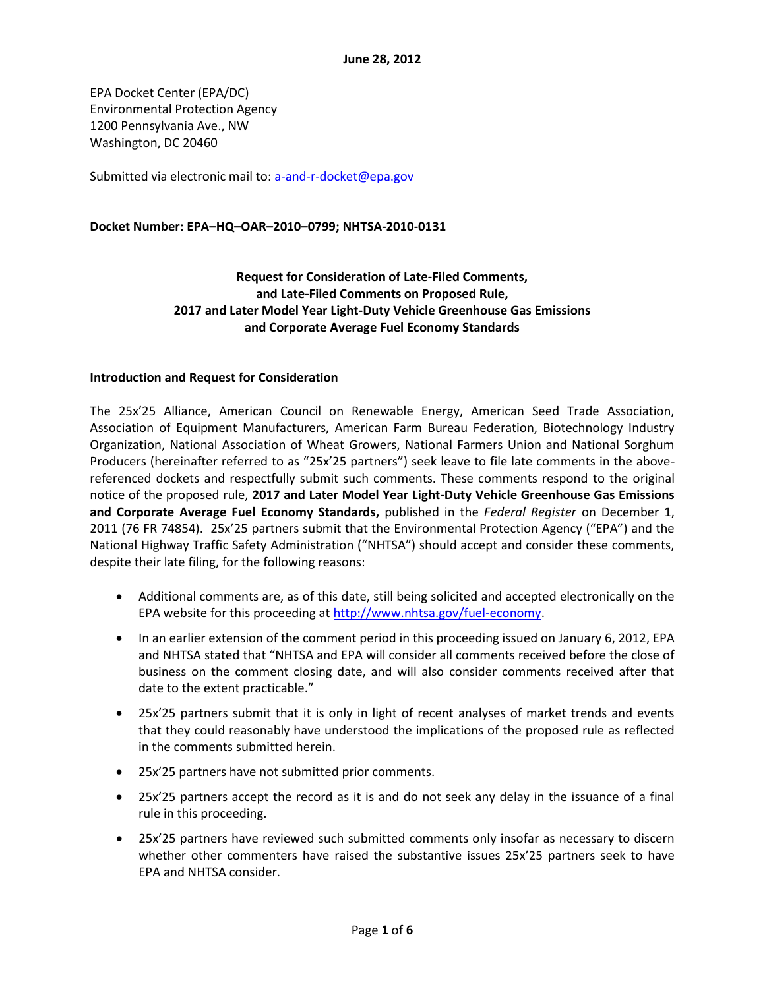EPA Docket Center (EPA/DC) Environmental Protection Agency 1200 Pennsylvania Ave., NW Washington, DC 20460

Submitted via electronic mail to[: a-and-r-docket@epa.gov](mailto:a-and-r-docket@epa.gov)

#### **Docket Number: EPA–HQ–OAR–2010–0799; NHTSA-2010-0131**

## **Request for Consideration of Late-Filed Comments, and Late-Filed Comments on Proposed Rule, 2017 and Later Model Year Light-Duty Vehicle Greenhouse Gas Emissions and Corporate Average Fuel Economy Standards**

#### **Introduction and Request for Consideration**

The 25x'25 Alliance, American Council on Renewable Energy, American Seed Trade Association, Association of Equipment Manufacturers, American Farm Bureau Federation, Biotechnology Industry Organization, National Association of Wheat Growers, National Farmers Union and National Sorghum Producers (hereinafter referred to as "25x'25 partners") seek leave to file late comments in the abovereferenced dockets and respectfully submit such comments. These comments respond to the original notice of the proposed rule, **2017 and Later Model Year Light-Duty Vehicle Greenhouse Gas Emissions and Corporate Average Fuel Economy Standards,** published in the *Federal Register* on December 1, 2011 (76 FR 74854). 25x'25 partners submit that the Environmental Protection Agency ("EPA") and the National Highway Traffic Safety Administration ("NHTSA") should accept and consider these comments, despite their late filing, for the following reasons:

- Additional comments are, as of this date, still being solicited and accepted electronically on the EPA website for this proceeding at [http://www.nhtsa.gov/fuel-economy.](http://www.nhtsa.gov/fuel-economy)
- In an earlier extension of the comment period in this proceeding issued on January 6, 2012, EPA and NHTSA stated that "NHTSA and EPA will consider all comments received before the close of business on the comment closing date, and will also consider comments received after that date to the extent practicable."
- 25x'25 partners submit that it is only in light of recent analyses of market trends and events that they could reasonably have understood the implications of the proposed rule as reflected in the comments submitted herein.
- 25x'25 partners have not submitted prior comments.
- 25x'25 partners accept the record as it is and do not seek any delay in the issuance of a final rule in this proceeding.
- 25x'25 partners have reviewed such submitted comments only insofar as necessary to discern whether other commenters have raised the substantive issues 25x'25 partners seek to have EPA and NHTSA consider.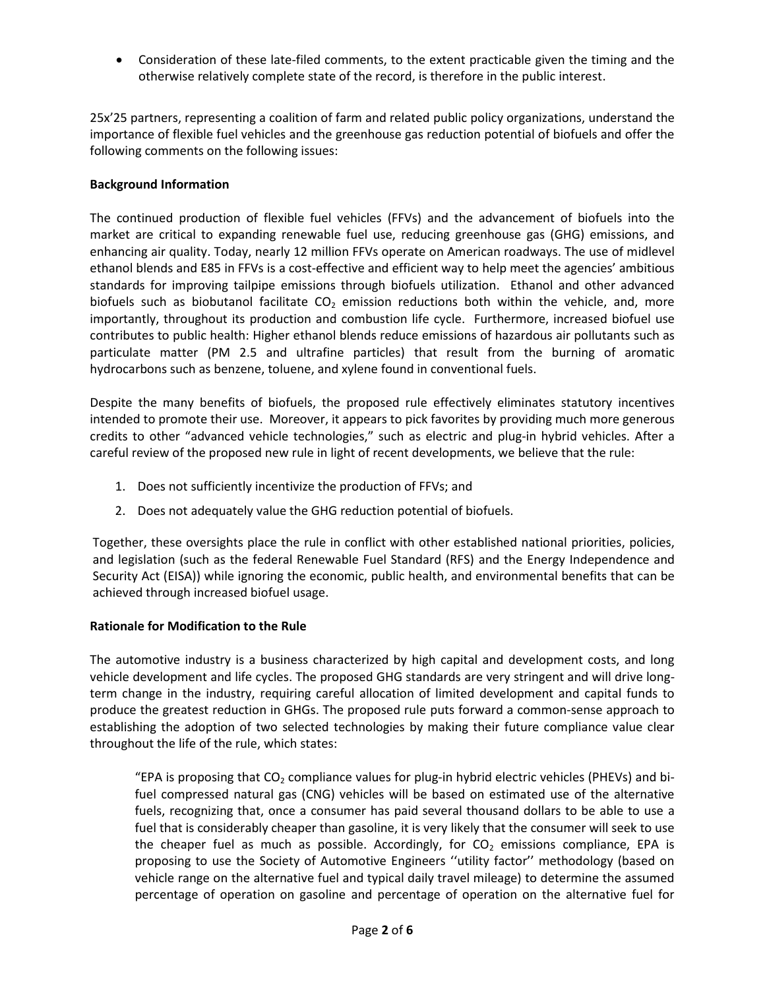Consideration of these late-filed comments, to the extent practicable given the timing and the otherwise relatively complete state of the record, is therefore in the public interest.

25x'25 partners, representing a coalition of farm and related public policy organizations, understand the importance of flexible fuel vehicles and the greenhouse gas reduction potential of biofuels and offer the following comments on the following issues:

### **Background Information**

The continued production of flexible fuel vehicles (FFVs) and the advancement of biofuels into the market are critical to expanding renewable fuel use, reducing greenhouse gas (GHG) emissions, and enhancing air quality. Today, nearly 12 million FFVs operate on American roadways. The use of midlevel ethanol blends and E85 in FFVs is a cost-effective and efficient way to help meet the agencies' ambitious standards for improving tailpipe emissions through biofuels utilization. Ethanol and other advanced biofuels such as biobutanol facilitate  $CO<sub>2</sub>$  emission reductions both within the vehicle, and, more importantly, throughout its production and combustion life cycle. Furthermore, increased biofuel use contributes to public health: Higher ethanol blends reduce emissions of hazardous air pollutants such as particulate matter (PM 2.5 and ultrafine particles) that result from the burning of aromatic hydrocarbons such as benzene, toluene, and xylene found in conventional fuels.

Despite the many benefits of biofuels, the proposed rule effectively eliminates statutory incentives intended to promote their use. Moreover, it appears to pick favorites by providing much more generous credits to other "advanced vehicle technologies," such as electric and plug-in hybrid vehicles. After a careful review of the proposed new rule in light of recent developments, we believe that the rule:

- 1. Does not sufficiently incentivize the production of FFVs; and
- 2. Does not adequately value the GHG reduction potential of biofuels.

Together, these oversights place the rule in conflict with other established national priorities, policies, and legislation (such as the federal Renewable Fuel Standard (RFS) and the Energy Independence and Security Act (EISA)) while ignoring the economic, public health, and environmental benefits that can be achieved through increased biofuel usage.

#### **Rationale for Modification to the Rule**

The automotive industry is a business characterized by high capital and development costs, and long vehicle development and life cycles. The proposed GHG standards are very stringent and will drive longterm change in the industry, requiring careful allocation of limited development and capital funds to produce the greatest reduction in GHGs. The proposed rule puts forward a common-sense approach to establishing the adoption of two selected technologies by making their future compliance value clear throughout the life of the rule, which states:

"EPA is proposing that  $CO<sub>2</sub>$  compliance values for plug-in hybrid electric vehicles (PHEVs) and bifuel compressed natural gas (CNG) vehicles will be based on estimated use of the alternative fuels, recognizing that, once a consumer has paid several thousand dollars to be able to use a fuel that is considerably cheaper than gasoline, it is very likely that the consumer will seek to use the cheaper fuel as much as possible. Accordingly, for  $CO<sub>2</sub>$  emissions compliance, EPA is proposing to use the Society of Automotive Engineers ''utility factor'' methodology (based on vehicle range on the alternative fuel and typical daily travel mileage) to determine the assumed percentage of operation on gasoline and percentage of operation on the alternative fuel for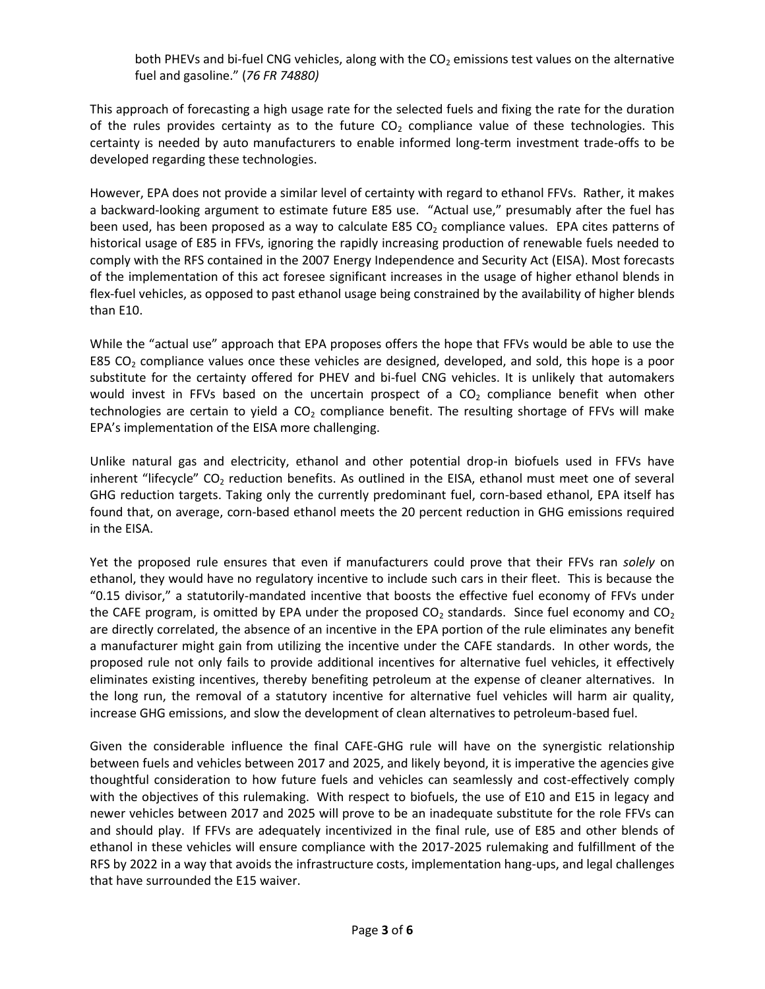both PHEVs and bi-fuel CNG vehicles, along with the  $CO<sub>2</sub>$  emissions test values on the alternative fuel and gasoline." (*76 FR 74880)*

This approach of forecasting a high usage rate for the selected fuels and fixing the rate for the duration of the rules provides certainty as to the future  $CO<sub>2</sub>$  compliance value of these technologies. This certainty is needed by auto manufacturers to enable informed long-term investment trade-offs to be developed regarding these technologies.

However, EPA does not provide a similar level of certainty with regard to ethanol FFVs. Rather, it makes a backward-looking argument to estimate future E85 use. "Actual use," presumably after the fuel has been used, has been proposed as a way to calculate E85  $CO<sub>2</sub>$  compliance values. EPA cites patterns of historical usage of E85 in FFVs, ignoring the rapidly increasing production of renewable fuels needed to comply with the RFS contained in the 2007 Energy Independence and Security Act (EISA). Most forecasts of the implementation of this act foresee significant increases in the usage of higher ethanol blends in flex-fuel vehicles, as opposed to past ethanol usage being constrained by the availability of higher blends than E10.

While the "actual use" approach that EPA proposes offers the hope that FFVs would be able to use the E85  $CO<sub>2</sub>$  compliance values once these vehicles are designed, developed, and sold, this hope is a poor substitute for the certainty offered for PHEV and bi-fuel CNG vehicles. It is unlikely that automakers would invest in FFVs based on the uncertain prospect of a  $CO<sub>2</sub>$  compliance benefit when other technologies are certain to yield a  $CO<sub>2</sub>$  compliance benefit. The resulting shortage of FFVs will make EPA's implementation of the EISA more challenging.

Unlike natural gas and electricity, ethanol and other potential drop-in biofuels used in FFVs have inherent "lifecycle"  $CO<sub>2</sub>$  reduction benefits. As outlined in the EISA, ethanol must meet one of several GHG reduction targets. Taking only the currently predominant fuel, corn-based ethanol, EPA itself has found that, on average, corn-based ethanol meets the 20 percent reduction in GHG emissions required in the EISA.

Yet the proposed rule ensures that even if manufacturers could prove that their FFVs ran *solely* on ethanol, they would have no regulatory incentive to include such cars in their fleet. This is because the "0.15 divisor," a statutorily-mandated incentive that boosts the effective fuel economy of FFVs under the CAFE program, is omitted by EPA under the proposed  $CO<sub>2</sub>$  standards. Since fuel economy and  $CO<sub>2</sub>$ are directly correlated, the absence of an incentive in the EPA portion of the rule eliminates any benefit a manufacturer might gain from utilizing the incentive under the CAFE standards. In other words, the proposed rule not only fails to provide additional incentives for alternative fuel vehicles, it effectively eliminates existing incentives, thereby benefiting petroleum at the expense of cleaner alternatives. In the long run, the removal of a statutory incentive for alternative fuel vehicles will harm air quality, increase GHG emissions, and slow the development of clean alternatives to petroleum-based fuel.

Given the considerable influence the final CAFE-GHG rule will have on the synergistic relationship between fuels and vehicles between 2017 and 2025, and likely beyond, it is imperative the agencies give thoughtful consideration to how future fuels and vehicles can seamlessly and cost-effectively comply with the objectives of this rulemaking. With respect to biofuels, the use of E10 and E15 in legacy and newer vehicles between 2017 and 2025 will prove to be an inadequate substitute for the role FFVs can and should play. If FFVs are adequately incentivized in the final rule, use of E85 and other blends of ethanol in these vehicles will ensure compliance with the 2017-2025 rulemaking and fulfillment of the RFS by 2022 in a way that avoids the infrastructure costs, implementation hang-ups, and legal challenges that have surrounded the E15 waiver.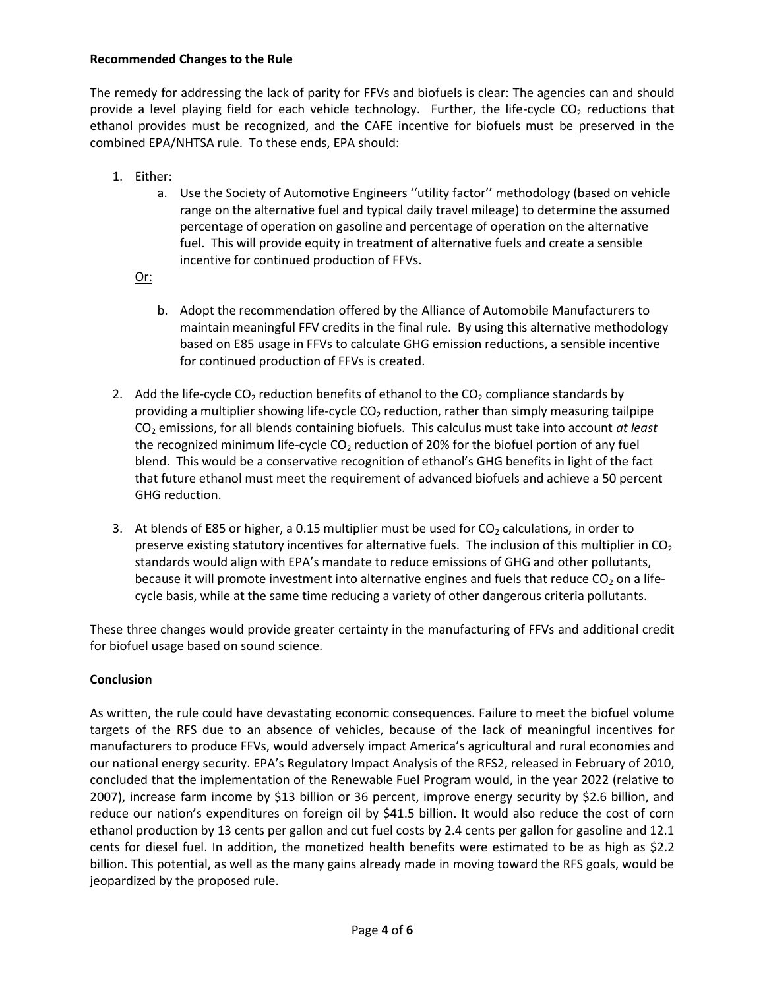### **Recommended Changes to the Rule**

The remedy for addressing the lack of parity for FFVs and biofuels is clear: The agencies can and should provide a level playing field for each vehicle technology. Further, the life-cycle  $CO<sub>2</sub>$  reductions that ethanol provides must be recognized, and the CAFE incentive for biofuels must be preserved in the combined EPA/NHTSA rule. To these ends, EPA should:

- 1. Either:
	- a. Use the Society of Automotive Engineers ''utility factor'' methodology (based on vehicle range on the alternative fuel and typical daily travel mileage) to determine the assumed percentage of operation on gasoline and percentage of operation on the alternative fuel. This will provide equity in treatment of alternative fuels and create a sensible incentive for continued production of FFVs.
	- Or:
		- b. Adopt the recommendation offered by the Alliance of Automobile Manufacturers to maintain meaningful FFV credits in the final rule. By using this alternative methodology based on E85 usage in FFVs to calculate GHG emission reductions, a sensible incentive for continued production of FFVs is created.
- 2. Add the life-cycle  $CO<sub>2</sub>$  reduction benefits of ethanol to the  $CO<sub>2</sub>$  compliance standards by providing a multiplier showing life-cycle  $CO<sub>2</sub>$  reduction, rather than simply measuring tailpipe CO<sup>2</sup> emissions, for all blends containing biofuels. This calculus must take into account *at least*  the recognized minimum life-cycle  $CO<sub>2</sub>$  reduction of 20% for the biofuel portion of any fuel blend. This would be a conservative recognition of ethanol's GHG benefits in light of the fact that future ethanol must meet the requirement of advanced biofuels and achieve a 50 percent GHG reduction.
- 3. At blends of E85 or higher, a 0.15 multiplier must be used for  $CO<sub>2</sub>$  calculations, in order to preserve existing statutory incentives for alternative fuels. The inclusion of this multiplier in  $CO<sub>2</sub>$ standards would align with EPA's mandate to reduce emissions of GHG and other pollutants, because it will promote investment into alternative engines and fuels that reduce  $CO<sub>2</sub>$  on a lifecycle basis, while at the same time reducing a variety of other dangerous criteria pollutants.

These three changes would provide greater certainty in the manufacturing of FFVs and additional credit for biofuel usage based on sound science.

# **Conclusion**

As written, the rule could have devastating economic consequences. Failure to meet the biofuel volume targets of the RFS due to an absence of vehicles, because of the lack of meaningful incentives for manufacturers to produce FFVs, would adversely impact America's agricultural and rural economies and our national energy security. EPA's Regulatory Impact Analysis of the RFS2, released in February of 2010, concluded that the implementation of the Renewable Fuel Program would, in the year 2022 (relative to 2007), increase farm income by \$13 billion or 36 percent, improve energy security by \$2.6 billion, and reduce our nation's expenditures on foreign oil by \$41.5 billion. It would also reduce the cost of corn ethanol production by 13 cents per gallon and cut fuel costs by 2.4 cents per gallon for gasoline and 12.1 cents for diesel fuel. In addition, the monetized health benefits were estimated to be as high as \$2.2 billion. This potential, as well as the many gains already made in moving toward the RFS goals, would be jeopardized by the proposed rule.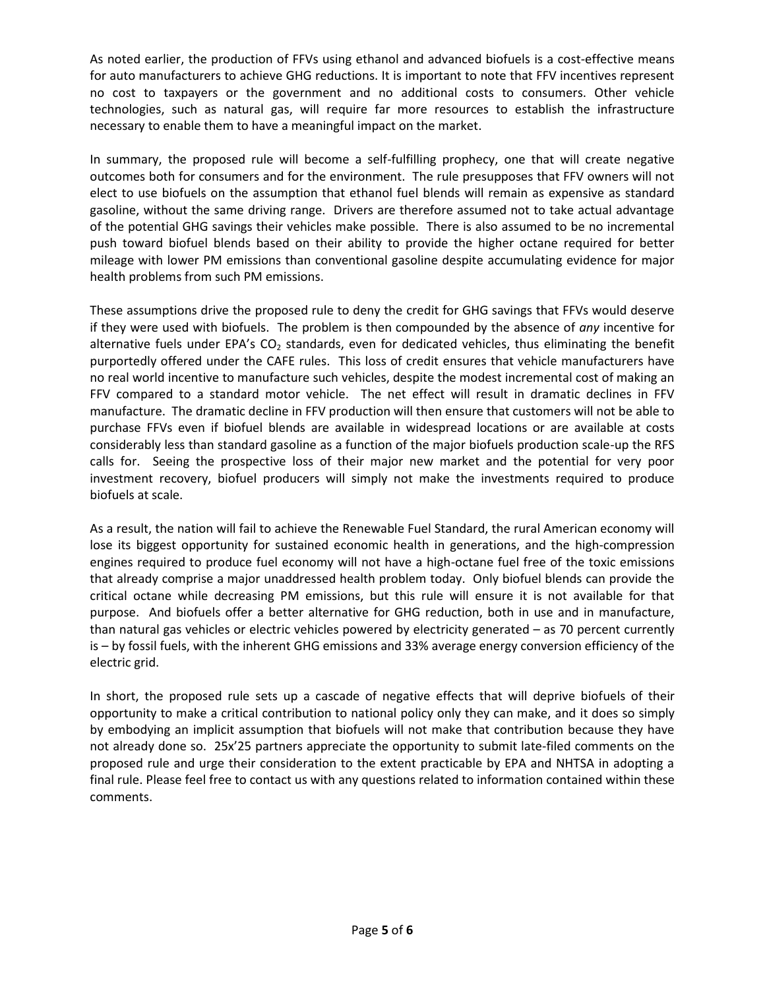As noted earlier, the production of FFVs using ethanol and advanced biofuels is a cost-effective means for auto manufacturers to achieve GHG reductions. It is important to note that FFV incentives represent no cost to taxpayers or the government and no additional costs to consumers. Other vehicle technologies, such as natural gas, will require far more resources to establish the infrastructure necessary to enable them to have a meaningful impact on the market.

In summary, the proposed rule will become a self-fulfilling prophecy, one that will create negative outcomes both for consumers and for the environment. The rule presupposes that FFV owners will not elect to use biofuels on the assumption that ethanol fuel blends will remain as expensive as standard gasoline, without the same driving range. Drivers are therefore assumed not to take actual advantage of the potential GHG savings their vehicles make possible. There is also assumed to be no incremental push toward biofuel blends based on their ability to provide the higher octane required for better mileage with lower PM emissions than conventional gasoline despite accumulating evidence for major health problems from such PM emissions.

These assumptions drive the proposed rule to deny the credit for GHG savings that FFVs would deserve if they were used with biofuels. The problem is then compounded by the absence of *any* incentive for alternative fuels under EPA's  $CO<sub>2</sub>$  standards, even for dedicated vehicles, thus eliminating the benefit purportedly offered under the CAFE rules. This loss of credit ensures that vehicle manufacturers have no real world incentive to manufacture such vehicles, despite the modest incremental cost of making an FFV compared to a standard motor vehicle. The net effect will result in dramatic declines in FFV manufacture. The dramatic decline in FFV production will then ensure that customers will not be able to purchase FFVs even if biofuel blends are available in widespread locations or are available at costs considerably less than standard gasoline as a function of the major biofuels production scale-up the RFS calls for. Seeing the prospective loss of their major new market and the potential for very poor investment recovery, biofuel producers will simply not make the investments required to produce biofuels at scale.

As a result, the nation will fail to achieve the Renewable Fuel Standard, the rural American economy will lose its biggest opportunity for sustained economic health in generations, and the high-compression engines required to produce fuel economy will not have a high-octane fuel free of the toxic emissions that already comprise a major unaddressed health problem today. Only biofuel blends can provide the critical octane while decreasing PM emissions, but this rule will ensure it is not available for that purpose. And biofuels offer a better alternative for GHG reduction, both in use and in manufacture, than natural gas vehicles or electric vehicles powered by electricity generated – as 70 percent currently is – by fossil fuels, with the inherent GHG emissions and 33% average energy conversion efficiency of the electric grid.

In short, the proposed rule sets up a cascade of negative effects that will deprive biofuels of their opportunity to make a critical contribution to national policy only they can make, and it does so simply by embodying an implicit assumption that biofuels will not make that contribution because they have not already done so. 25x'25 partners appreciate the opportunity to submit late-filed comments on the proposed rule and urge their consideration to the extent practicable by EPA and NHTSA in adopting a final rule. Please feel free to contact us with any questions related to information contained within these comments.